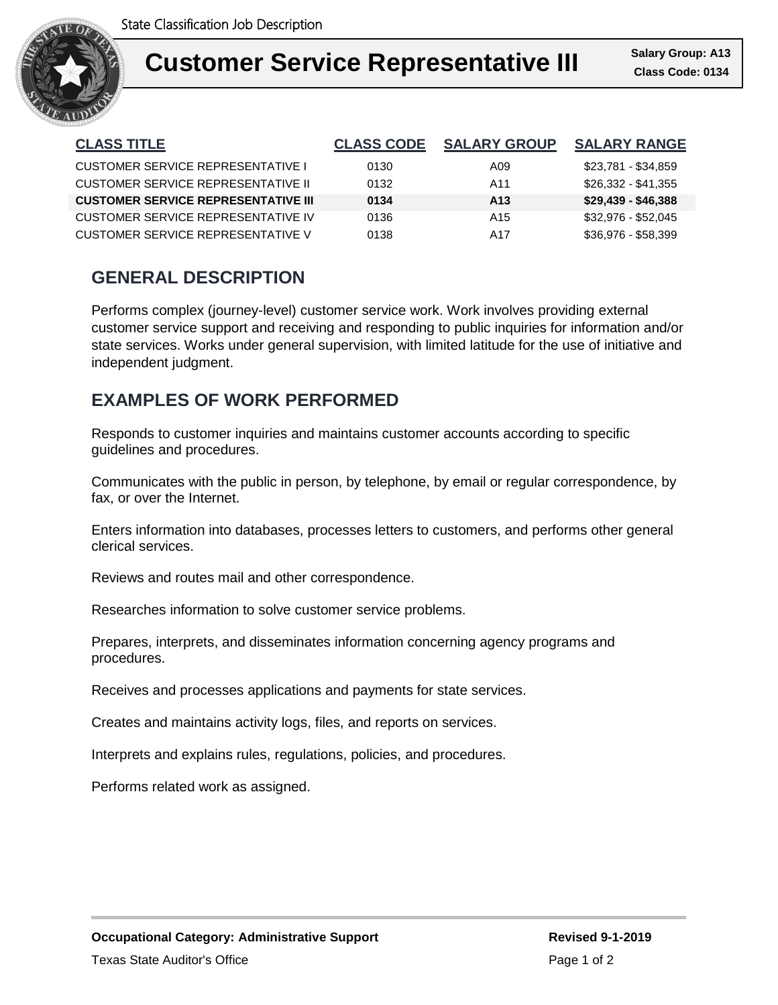

| <b>CLASS TITLE</b>                         | <b>CLASS CODE</b> | <b>SALARY GROUP</b> | <b>SALARY RANGE</b> |
|--------------------------------------------|-------------------|---------------------|---------------------|
| CUSTOMER SERVICE REPRESENTATIVE I          | 0130              | A09                 | \$23,781 - \$34,859 |
| CUSTOMER SERVICE REPRESENTATIVE II         | 0132              | A11                 | \$26,332 - \$41,355 |
| <b>CUSTOMER SERVICE REPRESENTATIVE III</b> | 0134              | A <sub>13</sub>     | $$29,439 - $46,388$ |
| CUSTOMER SERVICE REPRESENTATIVE IV         | 0136              | A <sub>15</sub>     | \$32,976 - \$52,045 |
| CUSTOMER SERVICE REPRESENTATIVE V          | 0138              | A17                 | $$36,976 - $58,399$ |

## **GENERAL DESCRIPTION**

Performs complex (journey-level) customer service work. Work involves providing external customer service support and receiving and responding to public inquiries for information and/or state services. Works under general supervision, with limited latitude for the use of initiative and independent judgment.

## **EXAMPLES OF WORK PERFORMED**

Responds to customer inquiries and maintains customer accounts according to specific guidelines and procedures.

Communicates with the public in person, by telephone, by email or regular correspondence, by fax, or over the Internet.

Enters information into databases, processes letters to customers, and performs other general clerical services.

Reviews and routes mail and other correspondence.

Researches information to solve customer service problems.

Prepares, interprets, and disseminates information concerning agency programs and procedures.

Receives and processes applications and payments for state services.

Creates and maintains activity logs, files, and reports on services.

Interprets and explains rules, regulations, policies, and procedures.

Performs related work as assigned.